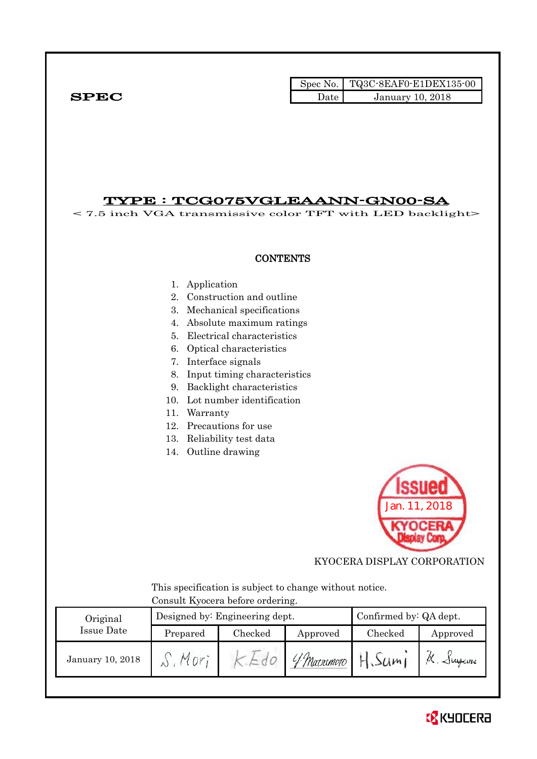## Spec No. TQ3C-8EAF0-E1DEX135-00  $SPEC$  Date January 10, 2018

## TYPE : TCG075VGLEAANN-GN00-SA

< 7.5 inch VGA transmissive color TFT with LED backlight>

### **CONTENTS**

- 1. Application
- 2. Construction and outline
- 3. Mechanical specifications
- 4. Absolute maximum ratings
- 5. Electrical characteristics
- 6. Optical characteristics
- 7. Interface signals
- 8. Input timing characteristics
- 9. Backlight characteristics
- 10. Lot number identification
- 11. Warranty
- 12. Precautions for use
- 13. Reliability test data
- 14. Outline drawing



KYOCERA DISPLAY CORPORATION

 This specification is subject to change without notice. Consult Kyocera before ordering.

| Original         |          | Designed by: Engineering dept. | Confirmed by: QA dept. |         |           |
|------------------|----------|--------------------------------|------------------------|---------|-----------|
| Issue Date       | Prepared | Checked                        | Approved               | Checked | Approved  |
| January 10, 2018 | Mnr      |                                | 'Y Marsumoto           | H.Sum   | K. Sugani |

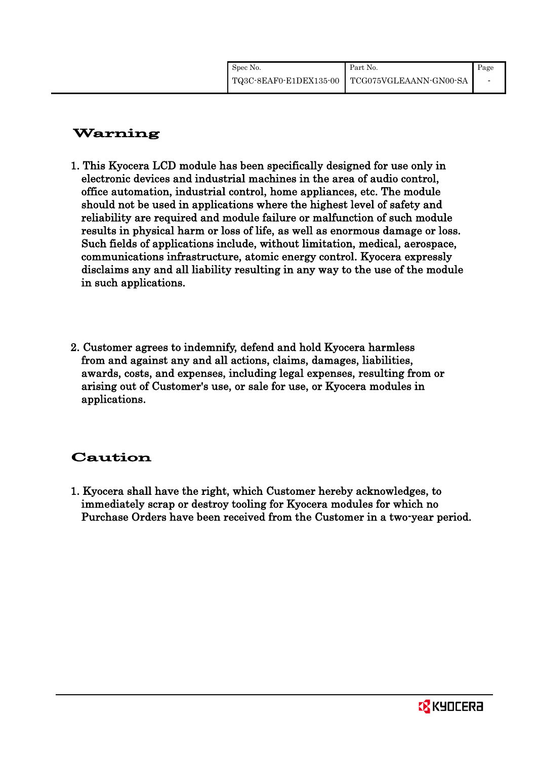# Warning

- 1. This Kyocera LCD module has been specifically designed for use only in electronic devices and industrial machines in the area of audio control, office automation, industrial control, home appliances, etc. The module should not be used in applications where the highest level of safety and reliability are required and module failure or malfunction of such module results in physical harm or loss of life, as well as enormous damage or loss. Such fields of applications include, without limitation, medical, aerospace, communications infrastructure, atomic energy control. Kyocera expressly disclaims any and all liability resulting in any way to the use of the module in such applications.
- 2. Customer agrees to indemnify, defend and hold Kyocera harmless from and against any and all actions, claims, damages, liabilities, awards, costs, and expenses, including legal expenses, resulting from or arising out of Customer's use, or sale for use, or Kyocera modules in applications.

# Caution

1. Kyocera shall have the right, which Customer hereby acknowledges, to immediately scrap or destroy tooling for Kyocera modules for which no Purchase Orders have been received from the Customer in a two-year period.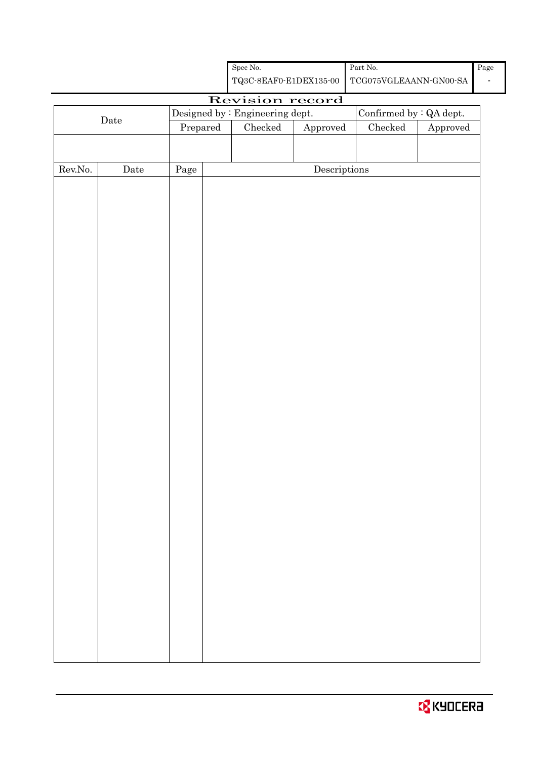|                  | $\rm{\textbf{Date}}$ |          | Confirmed by $:QA$ dept.<br>Designed by : Engineering dept. |                                              |                                      |  |                        |
|------------------|----------------------|----------|-------------------------------------------------------------|----------------------------------------------|--------------------------------------|--|------------------------|
|                  |                      | Prepared |                                                             | ${\it Checked}$<br>Approved<br>$\rm Checked$ |                                      |  | ${\Large\bf Approved}$ |
|                  |                      |          |                                                             |                                              |                                      |  |                        |
|                  |                      |          |                                                             |                                              |                                      |  |                        |
| ${\rm Rev. No.}$ | $\rm{Date}$          | Page     |                                                             |                                              | $\label{eq:2} \textbf{Descriptions}$ |  |                        |
|                  |                      |          |                                                             |                                              |                                      |  |                        |
|                  |                      |          |                                                             |                                              |                                      |  |                        |
|                  |                      |          |                                                             |                                              |                                      |  |                        |
|                  |                      |          |                                                             |                                              |                                      |  |                        |
|                  |                      |          |                                                             |                                              |                                      |  |                        |
|                  |                      |          |                                                             |                                              |                                      |  |                        |
|                  |                      |          |                                                             |                                              |                                      |  |                        |
|                  |                      |          |                                                             |                                              |                                      |  |                        |
|                  |                      |          |                                                             |                                              |                                      |  |                        |
|                  |                      |          |                                                             |                                              |                                      |  |                        |
|                  |                      |          |                                                             |                                              |                                      |  |                        |
|                  |                      |          |                                                             |                                              |                                      |  |                        |
|                  |                      |          |                                                             |                                              |                                      |  |                        |
|                  |                      |          |                                                             |                                              |                                      |  |                        |
|                  |                      |          |                                                             |                                              |                                      |  |                        |
|                  |                      |          |                                                             |                                              |                                      |  |                        |
|                  |                      |          |                                                             |                                              |                                      |  |                        |
|                  |                      |          |                                                             |                                              |                                      |  |                        |
|                  |                      |          |                                                             |                                              |                                      |  |                        |
|                  |                      |          |                                                             |                                              |                                      |  |                        |
|                  |                      |          |                                                             |                                              |                                      |  |                        |
|                  |                      |          |                                                             |                                              |                                      |  |                        |
|                  |                      |          |                                                             |                                              |                                      |  |                        |
|                  |                      |          |                                                             |                                              |                                      |  |                        |
|                  |                      |          |                                                             |                                              |                                      |  |                        |
|                  |                      |          |                                                             |                                              |                                      |  |                        |
|                  |                      |          |                                                             |                                              |                                      |  |                        |
|                  |                      |          |                                                             |                                              |                                      |  |                        |
|                  |                      |          |                                                             |                                              |                                      |  |                        |
|                  |                      |          |                                                             |                                              |                                      |  |                        |

Spec No.

TQ3C-8EAF0-E1DEX135-00

Revision record

Part No.

TCG075VGLEAANN-GN00-SA

Page

 $\overline{\phantom{a}}$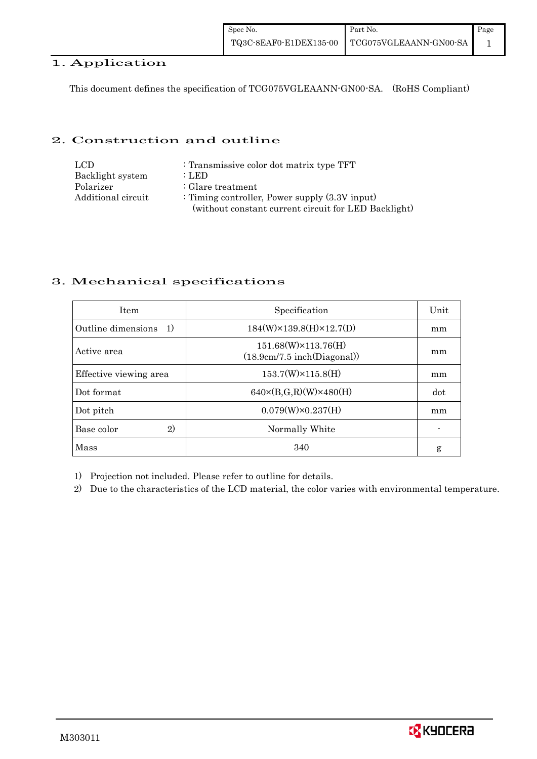## 1. Application

This document defines the specification of TCG075VGLEAANN-GN00-SA. (RoHS Compliant)

## 2. Construction and outline

| LCD.               | : Transmissive color dot matrix type TFT             |
|--------------------|------------------------------------------------------|
| Backlight system   | : LED                                                |
| Polarizer          | : Glare treatment                                    |
| Additional circuit | : Timing controller, Power supply $(3.3V$ input)     |
|                    | (without constant current circuit for LED Backlight) |

## 3. Mechanical specifications

| <b>Item</b>            | Specification                                               | Unit |
|------------------------|-------------------------------------------------------------|------|
| Outline dimensions 1)  | $184(W) \times 139.8(H) \times 12.7(D)$                     | mm   |
| Active area            | $151.68(W) \times 113.76(H)$<br>(18.9cm/7.5 inch(Diagonal)) | mm   |
| Effective viewing area | $153.7(W)\times 115.8(H)$                                   | mm   |
| Dot format             | $640 \times (B,G,R)(W) \times 480(H)$                       | dot  |
| Dot pitch              | $0.079(W)\times0.237(H)$                                    | mm   |
| 2)<br>Base color       | Normally White                                              |      |
| Mass                   | 340                                                         | g    |

1) Projection not included. Please refer to outline for details.

2) Due to the characteristics of the LCD material, the color varies with environmental temperature.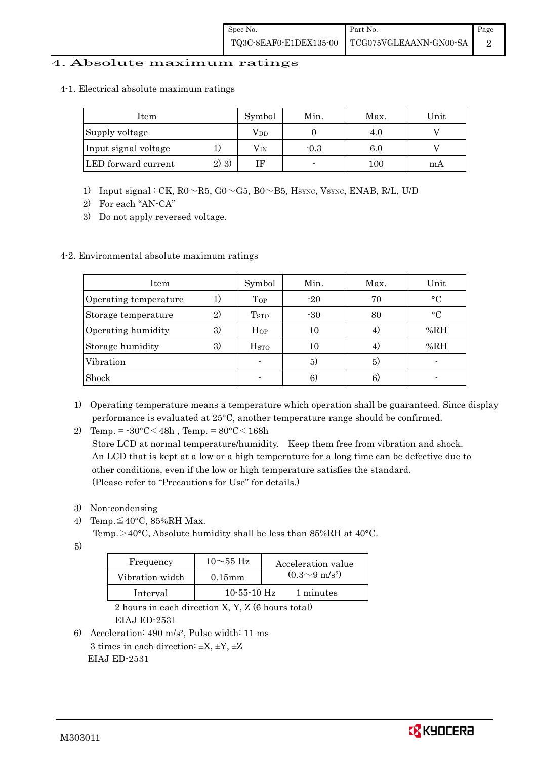### 4. Absolute maximum ratings

4-1. Electrical absolute maximum ratings

| Item                 |         | Symbol | Min.   | Max.    | Unit |
|----------------------|---------|--------|--------|---------|------|
| Supply voltage       |         | Vdd    |        | 4.U     |      |
| Input signal voltage |         | Vin    | $-0.3$ | $6.0\,$ |      |
| LED forward current  | $2)$ 3) | TЕ     |        | 100     | mA   |

- 1) Input signal : CK, R0~R5, G0~G5, B0~B5, HSYNC, VSYNC, ENAB, R/L, U/D
- 2) For each "AN-CA"
- 3) Do not apply reversed voltage.

#### 4-2. Environmental absolute maximum ratings

| Item                  |    | Symbol             | Min.  | Max. | Unit        |
|-----------------------|----|--------------------|-------|------|-------------|
| Operating temperature | 1) | $\mathrm{Top}$     | $-20$ | 70   | $^{\circ}C$ |
| Storage temperature   | 2) | T <sub>STO</sub>   | $-30$ | 80   | $^{\circ}C$ |
| Operating humidity    | 3) | Hop                | 10    |      | %RH         |
| Storage humidity      | 3) | $_{\mathrm{HSTO}}$ | 10    | 4)   | %RH         |
| Vibration             |    |                    | 5)    | 5)   |             |
| Shock                 |    |                    | 6)    | 6)   |             |

1) Operating temperature means a temperature which operation shall be guaranteed. Since display performance is evaluated at 25°C, another temperature range should be confirmed.

2) Temp. =  $-30^{\circ}$ C $<$ 48h, Temp. =  $80^{\circ}$ C $<$ 168h

 Store LCD at normal temperature/humidity. Keep them free from vibration and shock. An LCD that is kept at a low or a high temperature for a long time can be defective due to other conditions, even if the low or high temperature satisfies the standard. (Please refer to "Precautions for Use" for details.)

- 3) Non-condensing
- 4) Temp. $\leq 40^{\circ}$ C, 85%RH Max.

Temp. >40°C, Absolute humidity shall be less than 85%RH at 40°C.

5)

| Frequency       | $10\sim$ 55 Hz    | Acceleration value         |
|-----------------|-------------------|----------------------------|
| Vibration width | $0.15$ m m        | $(0.3{\sim}9~{\rm m/s^2})$ |
| Interval        | $10 - 55 - 10$ Hz | 1 minutes                  |

 2 hours in each direction X, Y, Z (6 hours total) EIAJ ED-2531

6) Acceleration: 490 m/s2, Pulse width: 11 ms 3 times in each direction:  $\pm X$ ,  $\pm Y$ ,  $\pm Z$ EIAJ ED-2531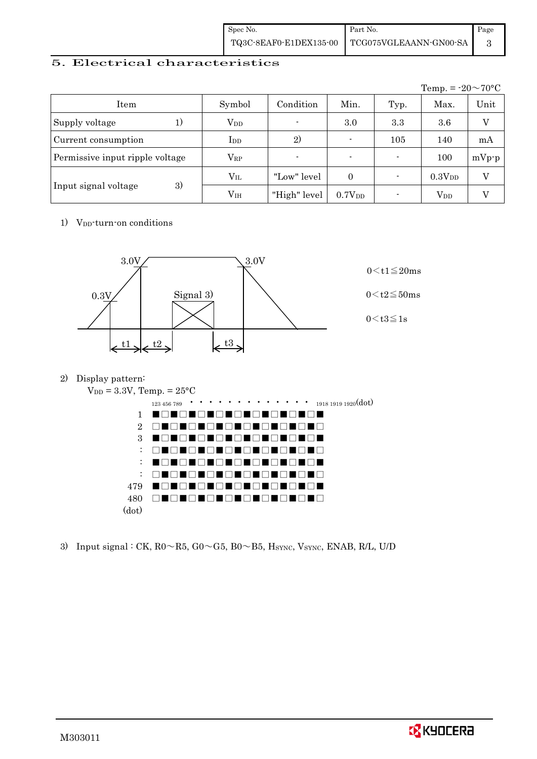| Spec No. | Part No.                                        | Page |
|----------|-------------------------------------------------|------|
|          | TQ3C-8EAF0-E1DEX135-00   TCG075VGLEAANN-GN00-SA |      |

## 5. Electrical characteristics

|                                 |               |                |                          |      | Temp. = $-20 \sim 70$ °C |         |
|---------------------------------|---------------|----------------|--------------------------|------|--------------------------|---------|
| Item                            | Symbol        | Condition      | Min.                     | Typ. | Max.                     | Unit    |
| Supply voltage<br>1)            | $\rm V_{DD}$  | $\blacksquare$ | 3.0                      | 3.3  | 3.6                      |         |
| Current consumption             | $_{\rm{LDD}}$ | 2)             |                          | 105  | 140                      | mA      |
| Permissive input ripple voltage | $\rm V_{RP}$  |                | $\overline{\phantom{0}}$ |      | 100                      | $mVp-p$ |
|                                 | $\rm V_{II}$  | "Low" level    | $\Omega$                 |      | 0.3V <sub>DD</sub>       | V       |
| 3)<br>Input signal voltage      | $\rm V_{IH}$  | "High" level   | 0.7V <sub>DD</sub>       |      | $V_{DD}$                 |         |

1) V<sub>DD</sub>-turn-on conditions



2) Display pattern:



3) Input signal : CK,  $R0 \sim R5$ ,  $G0 \sim G5$ ,  $B0 \sim B5$ ,  $H_{\text{SYNC}}$ ,  $V_{\text{SYNC}}$ ,  $ENAB$ ,  $R/L$ ,  $U/D$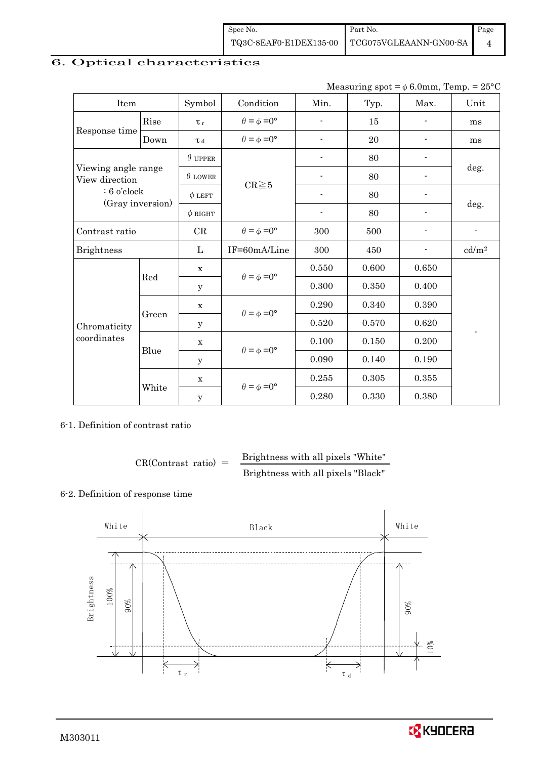| Spec No.               | Part No.               | Page |
|------------------------|------------------------|------|
| TQ3C-8EAF0-E1DEX135-00 | TCG075VGLEAANN-GN00-SA |      |

## 6. Optical characteristics

| Measuring spot = $\phi$ 6.0mm, Temp. = 25°C |
|---------------------------------------------|
|                                             |

| Item                                  |       | Symbol         | Condition                   | Min.                     | Typ.  | Max.                     | Unit              |
|---------------------------------------|-------|----------------|-----------------------------|--------------------------|-------|--------------------------|-------------------|
|                                       | Rise  | $\tau_r$       | $\theta = \phi = 0^{\circ}$ | $\overline{a}$           | 15    |                          | ms                |
| Response time                         | Down  | T d            | $\theta = \phi = 0^{\circ}$ |                          | 20    |                          | ms                |
|                                       |       | $\theta$ upper |                             |                          | 80    |                          |                   |
| Viewing angle range<br>View direction |       | $\theta$ LOWER |                             |                          | 80    |                          | deg.              |
| $: 6$ o'clock                         |       | $\phi$ LEFT    | $CR \ge 5$                  |                          | 80    |                          |                   |
| (Gray inversion)                      |       | $\phi$ RIGHT   |                             | $\overline{\phantom{a}}$ | 80    | $\overline{\phantom{a}}$ | deg.              |
| Contrast ratio                        |       | $\rm CR$       | $\theta = \phi = 0^{\circ}$ | 300                      | 500   |                          | $\blacksquare$    |
| <b>Brightness</b>                     |       | L              | IF=60mA/Line                | 300                      | 450   |                          | cd/m <sup>2</sup> |
|                                       | Red   | $\mathbf X$    | $\theta = \phi = 0^{\circ}$ | 0.550                    | 0.600 | 0.650                    |                   |
|                                       |       | У              |                             | 0.300                    | 0.350 | 0.400                    |                   |
|                                       | Green | $\mathbf X$    | $\theta = \phi = 0^{\circ}$ | 0.290                    | 0.340 | 0.390                    |                   |
| Chromaticity                          |       | у              |                             | $0.520\,$                | 0.570 | 0.620                    |                   |
| coordinates                           | Blue  | $\mathbf X$    | $\theta = \phi = 0^{\circ}$ | 0.100                    | 0.150 | 0.200                    |                   |
|                                       |       | у              |                             | 0.090                    | 0.140 | 0.190                    |                   |
|                                       |       | $\mathbf X$    | $\theta = \phi = 0^{\circ}$ | 0.255                    | 0.305 | 0.355                    |                   |
|                                       | White | $\mathbf y$    |                             | 0.280                    | 0.330 | 0.380                    |                   |

## 6-1. Definition of contrast ratio

$$
CR(Contrast ratio) = \frac{Brightness with all pixels "White" }{Brightness with all pixels "Black" }
$$

## 6-2. Definition of response time



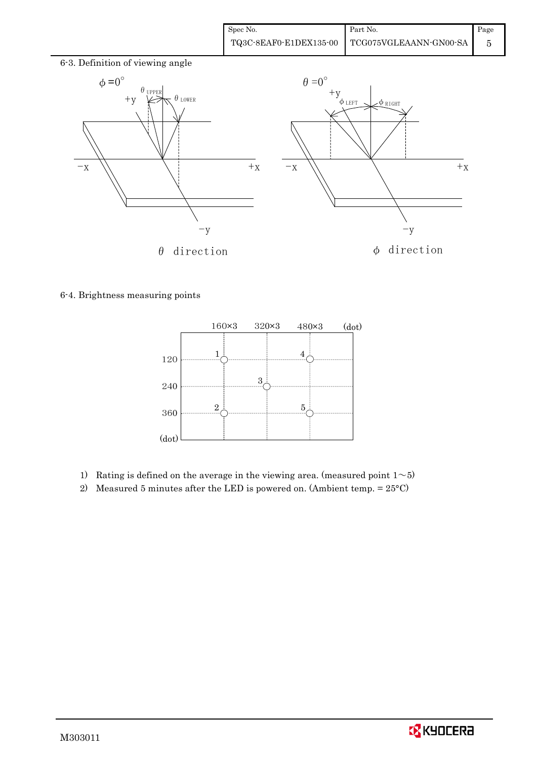

6-4. Brightness measuring points



- 1) Rating is defined on the average in the viewing area. (measured point  $1~>5$ )
- 2) Measured 5 minutes after the LED is powered on. (Ambient temp.  $= 25^{\circ}$ C)

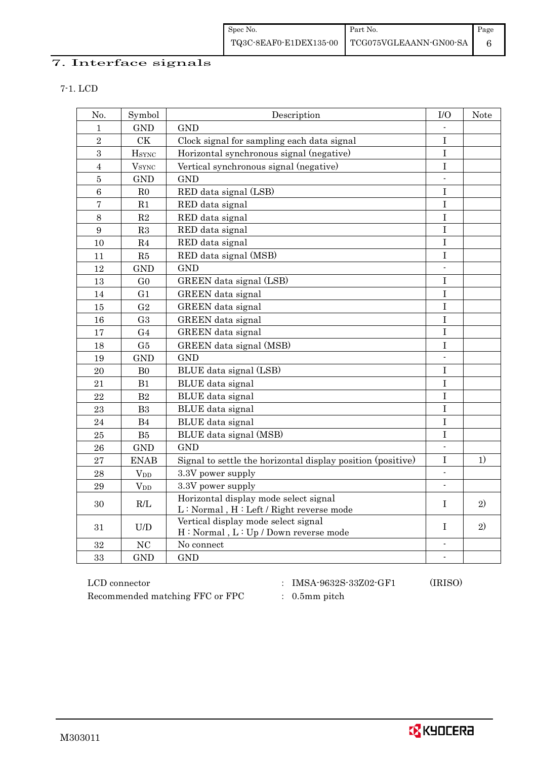## 7. Interface signals

7-1. LCD

| No.              | Symbol                   | Description                                                                      | I/O                      | Note |
|------------------|--------------------------|----------------------------------------------------------------------------------|--------------------------|------|
| $\mathbf 1$      | <b>GND</b>               | <b>GND</b>                                                                       |                          |      |
| $\overline{2}$   | <b>CK</b>                | Clock signal for sampling each data signal                                       | I                        |      |
| 3                | <b>H</b> <sub>SYNC</sub> | Horizontal synchronous signal (negative)                                         | $\mathbf I$              |      |
| $\overline{4}$   | <b>V</b> <sub>SYNC</sub> | Vertical synchronous signal (negative)                                           | $\mathbf I$              |      |
| $\overline{5}$   | <b>GND</b>               | <b>GND</b>                                                                       |                          |      |
| $\,6$            | R <sub>0</sub>           | RED data signal (LSB)                                                            | $\mathbf I$              |      |
| $\overline{7}$   | R1                       | RED data signal                                                                  | $\mathbf I$              |      |
| $8\,$            | $\mathbf{R}2$            | RED data signal                                                                  | $\bf I$                  |      |
| $\boldsymbol{9}$ | R3                       | RED data signal                                                                  | $\bf I$                  |      |
| 10               | R <sub>4</sub>           | RED data signal                                                                  | $\mathbf I$              |      |
| 11               | R5                       | RED data signal (MSB)                                                            | $\mathbf I$              |      |
| 12               | <b>GND</b>               | <b>GND</b>                                                                       | $\overline{a}$           |      |
| 13               | G <sub>0</sub>           | GREEN data signal (LSB)                                                          | $\mathbf I$              |      |
| 14               | G1                       | GREEN data signal                                                                | $\mathbf I$              |      |
| 15               | G <sub>2</sub>           | GREEN data signal                                                                | $\mathbf I$              |      |
| 16               | G <sub>3</sub>           | GREEN data signal                                                                | $\bf I$                  |      |
| 17               | G <sub>4</sub>           | GREEN data signal                                                                | $\mathbf I$              |      |
| 18               | G5                       | GREEN data signal (MSB)                                                          | $\bf I$                  |      |
| 19               | <b>GND</b>               | <b>GND</b>                                                                       |                          |      |
| 20               | B <sub>0</sub>           | BLUE data signal (LSB)                                                           | $\mathbf I$              |      |
| 21               | B1                       | BLUE data signal                                                                 | I                        |      |
| 22               | B2                       | BLUE data signal                                                                 | I                        |      |
| 23               | B <sub>3</sub>           | BLUE data signal                                                                 | $\mathbf I$              |      |
| 24               | B <sub>4</sub>           | BLUE data signal                                                                 | $\overline{I}$           |      |
| 25               | B5                       | BLUE data signal (MSB)                                                           | $\mathbf I$              |      |
| 26               | <b>GND</b>               | <b>GND</b>                                                                       |                          |      |
| 27               | <b>ENAB</b>              | Signal to settle the horizontal display position (positive)                      | $\mathbf I$              | 1)   |
| 28               | <b>V</b> <sub>D</sub>    | 3.3V power supply                                                                | $\overline{a}$           |      |
| 29               | <b>V</b> <sub>D</sub>    | 3.3V power supply                                                                | $\overline{\phantom{a}}$ |      |
| 30               | R/L                      | Horizontal display mode select signal<br>L: Normal, H: Left / Right reverse mode | $\bf{I}$                 | 2)   |
| 31               | U/D                      | Vertical display mode select signal<br>H: Normal, L: Up / Down reverse mode      | $\bf{I}$                 | 2)   |
| 32               | NC                       | No connect                                                                       |                          |      |
| 33               | <b>GND</b>               | <b>GND</b>                                                                       | $\overline{a}$           |      |

Recommended matching FFC or FPC : 0.5mm pitch

LCD connector : IMSA-9632S-33Z02-GF1 (IRISO)

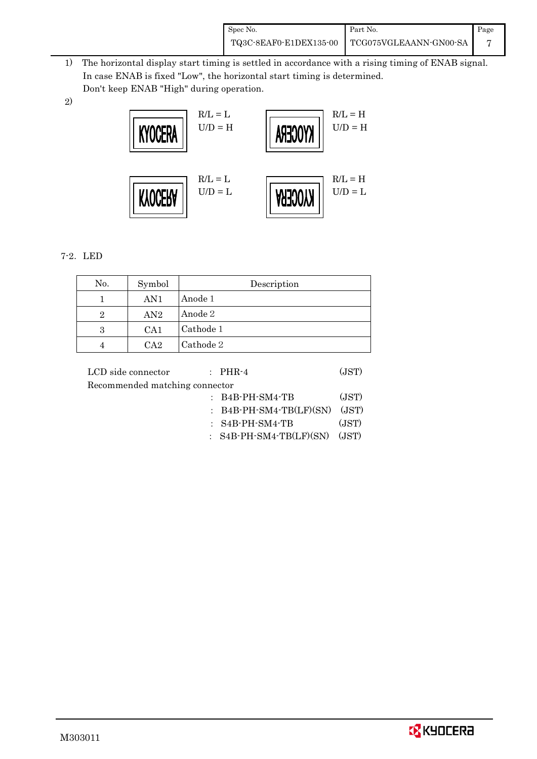| Spec No. | Part No.                                        | Page |
|----------|-------------------------------------------------|------|
|          | TQ3C-8EAF0-E1DEX135-00   TCG075VGLEAANN-GN00-SA |      |

- 1) The horizontal display start timing is settled in accordance with a rising timing of ENAB signal. In case ENAB is fixed "Low", the horizontal start timing is determined. Don't keep ENAB "High" during operation.
- 2)



## 7-2.LED

| No. | Symbol | Description |
|-----|--------|-------------|
|     | AN1    | Anode 1     |
| 2   | AN2    | Anode 2     |
| 3   | CA1    | Cathode 1   |
|     | $C_A2$ | Cathode 2   |

| LCD side connector             | $\therefore$ PHR-4               | (JST) |
|--------------------------------|----------------------------------|-------|
| Recommended matching connector |                                  |       |
|                                | $:$ B4B-PH-SM4-TB                | (JST) |
|                                | $:$ B4B-PH-SM4-TB(LF)(SN)        | (JST) |
|                                | $:$ S4B-PH-SM4-TB                | (JST) |
|                                | : $S4B$ -PH-SM4-TB(LF)(SN) (JST) |       |
|                                |                                  |       |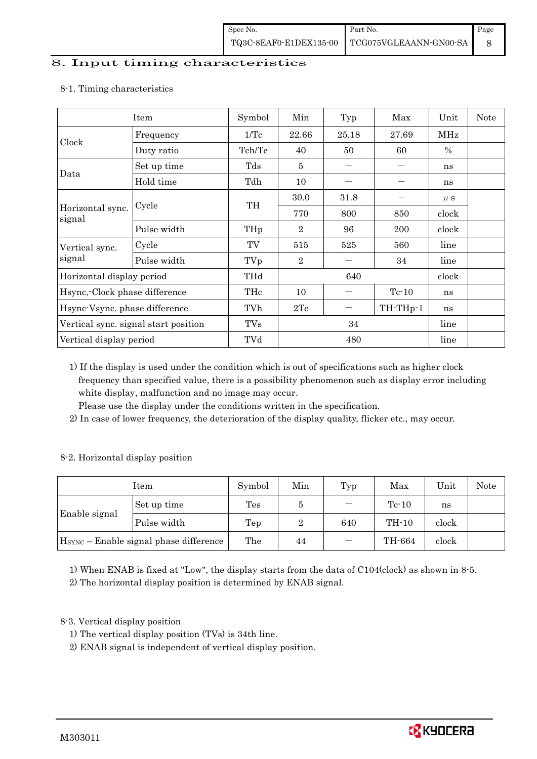## 8. Input timing characteristics

|                               | Item                                 | Symbol     | Min                                           | Typ   | Max                                | Unit          | <b>Note</b> |
|-------------------------------|--------------------------------------|------------|-----------------------------------------------|-------|------------------------------------|---------------|-------------|
|                               | Frequency                            | 1/Tc       | 22.66                                         | 25.18 | 27.69                              | MHz           |             |
| Clock                         | Duty ratio                           | Tch/Tc     | 40                                            | 50    | 60                                 | $\frac{0}{0}$ |             |
|                               | Set up time                          | Tds        | 5                                             |       |                                    | ns            |             |
| Data                          | Hold time                            | Tdh        | 10<br>30.0<br>31.8<br>TH<br>770<br>800<br>850 | ns    |                                    |               |             |
|                               |                                      |            |                                               |       |                                    | $\mu$ s       |             |
| Horizontal sync.<br>signal    | Cycle                                |            |                                               |       |                                    | clock         |             |
|                               | Pulse width                          | THp        | $\overline{2}$                                | 96    | <b>200</b>                         | clock         |             |
| Vertical sync.                | Cycle                                | TV         | 515                                           | 525   | 560<br>line<br>34<br>line<br>clock |               |             |
| signal                        | Pulse width                          | TVp        | $\overline{2}$                                |       |                                    |               |             |
| Horizontal display period     |                                      | THd        | 640                                           |       |                                    |               |             |
| Hsync, Clock phase difference |                                      | THc        | 10                                            |       | $Tc-10$                            | ns            |             |
| Hsync-Vsync. phase difference |                                      | TVh        | 2Tc                                           |       | TH-THp-1                           | ns            |             |
|                               | Vertical sync. signal start position | <b>TVs</b> | 34                                            |       | line                               |               |             |
| Vertical display period       |                                      | TVd        |                                               | 480   |                                    | line          |             |

#### 8-1. Timing characteristics

 1) If the display is used under the condition which is out of specifications such as higher clock frequency than specified value, there is a possibility phenomenon such as display error including white display, malfunction and no image may occur.

Please use the display under the conditions written in the specification.

2) In case of lower frequency, the deterioration of the display quality, flicker etc., may occur.

#### 8-2. Horizontal display position

| Item          |                                                    | Symbol | Min | Typ            | Max     | Unit  | Note |
|---------------|----------------------------------------------------|--------|-----|----------------|---------|-------|------|
|               | Set up time                                        | Tes    | 5   |                | $Tc-10$ | ns    |      |
| Enable signal | Pulse width                                        | Tep    | 2   | $TH-10$<br>640 | clock   |       |      |
|               | H <sub>SYNC</sub> - Enable signal phase difference | The    | 44  |                | TH-664  | clock |      |

1) When ENAB is fixed at "Low", the display starts from the data of C104(clock) as shown in 8-5.

2) The horizontal display position is determined by ENAB signal.

## 8-3. Vertical display position

1) The vertical display position (TVs) is 34th line.

2) ENAB signal is independent of vertical display position.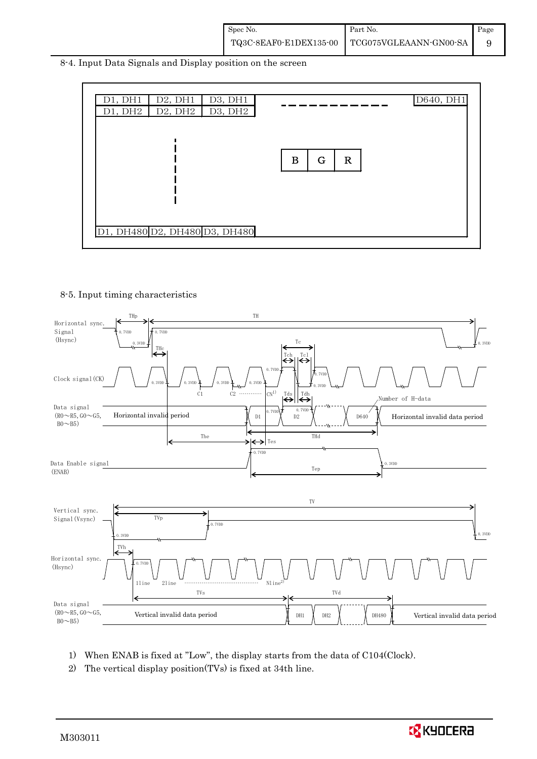| Spec No. | Part No.                                        | Page |
|----------|-------------------------------------------------|------|
|          | TQ3C-8EAF0-E1DEX135-00   TCG075VGLEAANN-GN00-SA |      |

8-4. Input Data Signals and Display position on the screen



#### 8-5. Input timing characteristics



- 1) When ENAB is fixed at "Low", the display starts from the data of C104(Clock).
- 2) The vertical display position(TVs) is fixed at 34th line.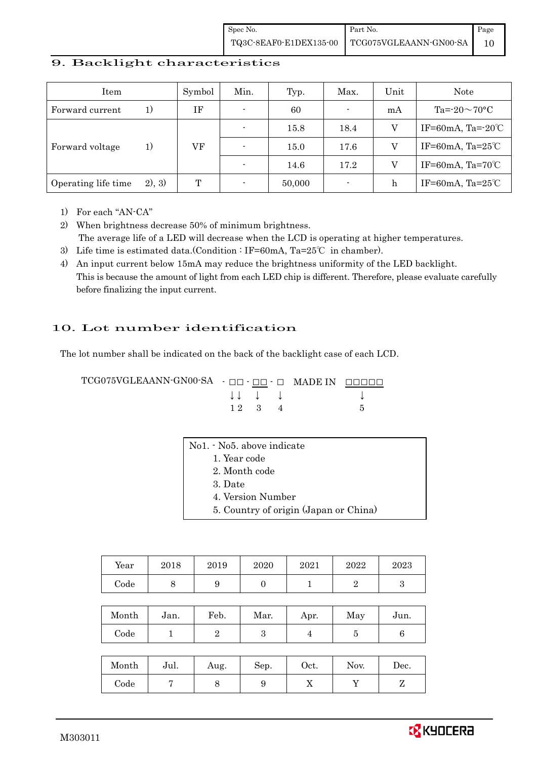| Spec No.               | Part No.               | Page |
|------------------------|------------------------|------|
| TQ3C-8EAF0-E1DEX135-00 | TCG075VGLEAANN-GN00-SA |      |

### 9. Backlight characteristics

| Item                |        | Symbol | Min.           | Typ.   | Max.                     | Unit | Note                         |
|---------------------|--------|--------|----------------|--------|--------------------------|------|------------------------------|
| Forward current     | 1)     | ΙF     | $\blacksquare$ | 60     | $\overline{\phantom{a}}$ | mA   | Ta= $-20\sim70$ °C           |
|                     |        |        |                | 15.8   | 18.4                     |      | IF=60mA, Ta= $-20^{\circ}$ C |
| Forward voltage     | 1)     | VF     |                | 15.0   | 17.6                     | V    | IF=60mA, Ta= $25^{\circ}$ C  |
|                     |        |        |                | 14.6   | 17.2                     |      | IF=60mA, Ta= $70^{\circ}$ C  |
| Operating life time | 2), 3) | T      |                | 50,000 | $\blacksquare$           | h    | IF=60mA, Ta= $25^{\circ}$ C  |

1) For each "AN-CA"

2) When brightness decrease 50% of minimum brightness.

- The average life of a LED will decrease when the LCD is operating at higher temperatures.
- 3) Life time is estimated data.(Condition : IF=60mA, Ta=25℃ in chamber).
- 4) An input current below 15mA may reduce the brightness uniformity of the LED backlight. This is because the amount of light from each LED chip is different. Therefore, please evaluate carefully before finalizing the input current.

## 10. Lot number identification

The lot number shall be indicated on the back of the backlight case of each LCD.

TCG075VGLEAANN-GN00-SA - □□ - □□ - □ MADE IN □□□□□ ↓ ↓ ↓ ↓ ↓  $1 2 3 4 5$ 

| No1. - No5. above indicate            |
|---------------------------------------|
| 1. Year code                          |
| 2. Month code                         |
| 3. Date                               |
| 4. Version Number                     |
| 5. Country of origin (Japan or China) |
|                                       |

| Year | 2018 | 2019 | 2020 | 2021 | 2022 | $2023\,$ |
|------|------|------|------|------|------|----------|
| Code | U    | ັ    |      |      |      |          |

| Month | Jan. | Feb. | Mar. | Apr. | May | Jun. |
|-------|------|------|------|------|-----|------|
| Code  |      |      |      |      |     |      |

| Month | Jul. | Aug. | Sep. | $\rm Oct.$ | Nov. | Dec. |
|-------|------|------|------|------------|------|------|
| Code  |      |      |      | ∡⊾         |      |      |

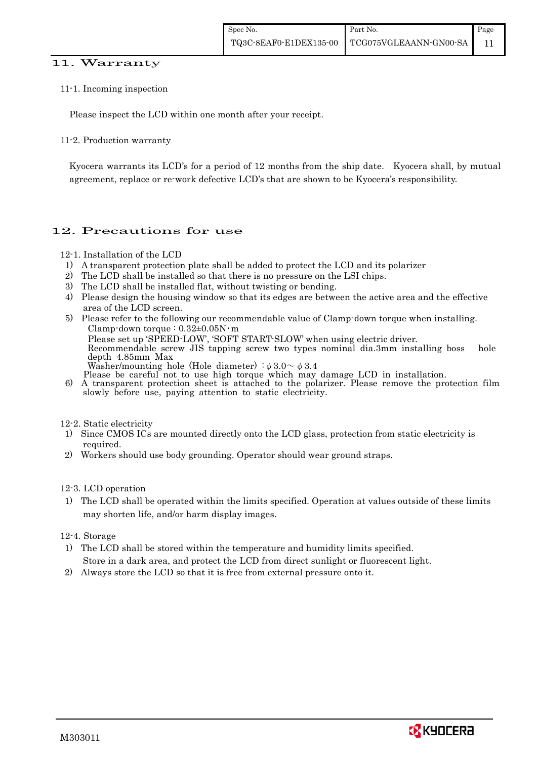### 11. Warranty

#### 11-1. Incoming inspection

Please inspect the LCD within one month after your receipt.

#### 11-2. Production warranty

 Kyocera warrants its LCD's for a period of 12 months from the ship date. Kyocera shall, by mutual agreement, replace or re-work defective LCD's that are shown to be Kyocera's responsibility.

## 12. Precautions for use

#### 12-1. Installation of the LCD

- 1) A transparent protection plate shall be added to protect the LCD and its polarizer
- 2) The LCD shall be installed so that there is no pressure on the LSI chips.
- 3) The LCD shall be installed flat, without twisting or bending.
- 4) Please design the housing window so that its edges are between the active area and the effective area of the LCD screen.
- 5) Please refer to the following our recommendable value of Clamp-down torque when installing. Clamp-down torque :  $0.32\pm0.05$ N·m

 Please set up 'SPEED-LOW', 'SOFT START-SLOW' when using electric driver. Recommendable screw JIS tapping screw two types nominal dia.3mm installing boss hole

depth 4.85mm Max

Washer/mounting hole (Hole diameter)  $\phi$  3.0 $\sim$   $\phi$  3.4<br>Please be careful not to use high torque which may damage LCD in installation.

6) A transparent protection sheet is attached to the polarizer. Please remove the protection film slowly before use, paying attention to static electricity.

12-2. Static electricity

- 1) Since CMOS ICs are mounted directly onto the LCD glass, protection from static electricity is required.
- 2) Workers should use body grounding. Operator should wear ground straps.

12-3. LCD operation

1) The LCD shall be operated within the limits specified. Operation at values outside of these limits may shorten life, and/or harm display images.

12-4. Storage

- 1) The LCD shall be stored within the temperature and humidity limits specified. Store in a dark area, and protect the LCD from direct sunlight or fluorescent light.
- 2) Always store the LCD so that it is free from external pressure onto it.

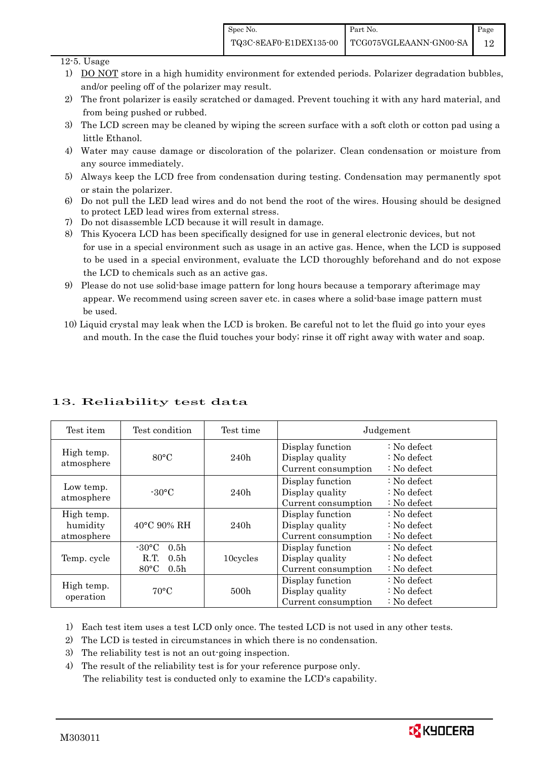12

#### 12-5. Usage

- 1) DO NOT store in a high humidity environment for extended periods. Polarizer degradation bubbles, and/or peeling off of the polarizer may result.
- 2) The front polarizer is easily scratched or damaged. Prevent touching it with any hard material, and from being pushed or rubbed.
- 3) The LCD screen may be cleaned by wiping the screen surface with a soft cloth or cotton pad using a little Ethanol.
- 4) Water may cause damage or discoloration of the polarizer. Clean condensation or moisture from any source immediately.
- 5) Always keep the LCD free from condensation during testing. Condensation may permanently spot or stain the polarizer.
- 6) Do not pull the LED lead wires and do not bend the root of the wires. Housing should be designed to protect LED lead wires from external stress.
- 7) Do not disassemble LCD because it will result in damage.
- 8) This Kyocera LCD has been specifically designed for use in general electronic devices, but not for use in a special environment such as usage in an active gas. Hence, when the LCD is supposed to be used in a special environment, evaluate the LCD thoroughly beforehand and do not expose the LCD to chemicals such as an active gas.
- 9) Please do not use solid-base image pattern for long hours because a temporary afterimage may appear. We recommend using screen saver etc. in cases where a solid-base image pattern must be used.
- 10) Liquid crystal may leak when the LCD is broken. Be careful not to let the fluid go into your eyes and mouth. In the case the fluid touches your body; rinse it off right away with water and soap.

| Test item                            | Test condition                                                                                        | Test time                                                          |                                                            | Judgement                                                         |  |
|--------------------------------------|-------------------------------------------------------------------------------------------------------|--------------------------------------------------------------------|------------------------------------------------------------|-------------------------------------------------------------------|--|
| High temp.<br>atmosphere             | $80^{\circ}$ C                                                                                        | Display function<br>Display quality<br>240h<br>Current consumption |                                                            | $: No$ defect<br>$\therefore$ No defect<br>$: No$ defect          |  |
| Low temp.<br>atmosphere              | $-30^{\circ}$ C                                                                                       | 240h                                                               | Display function<br>Display quality<br>Current consumption | $\therefore$ No defect<br>$: No$ defect<br>$: No$ defect          |  |
| High temp.<br>humidity<br>atmosphere | 40°C 90% RH                                                                                           | 240h                                                               | Display function<br>Display quality<br>Current consumption | $\therefore$ No defect<br>$: No$ defect<br>$: No$ defect          |  |
| Temp. cycle                          | $-30^{\circ}$ C<br>0.5 <sub>h</sub><br>0.5 <sub>h</sub><br>R.T.<br>$80^{\circ}$ C<br>0.5 <sub>h</sub> | 10cycles                                                           | Display function<br>Display quality<br>Current consumption | $\therefore$ No defect<br>$: No$ defect<br>: No defect            |  |
| High temp.<br>operation              | $70^{\circ}$ C                                                                                        | 500h                                                               | Display function<br>Display quality<br>Current consumption | $\therefore$ No defect<br>$\therefore$ No defect<br>$: No$ defect |  |

## 13. Reliability test data

1) Each test item uses a test LCD only once. The tested LCD is not used in any other tests.

2) The LCD is tested in circumstances in which there is no condensation.

3) The reliability test is not an out-going inspection.

4) The result of the reliability test is for your reference purpose only. The reliability test is conducted only to examine the LCD's capability.

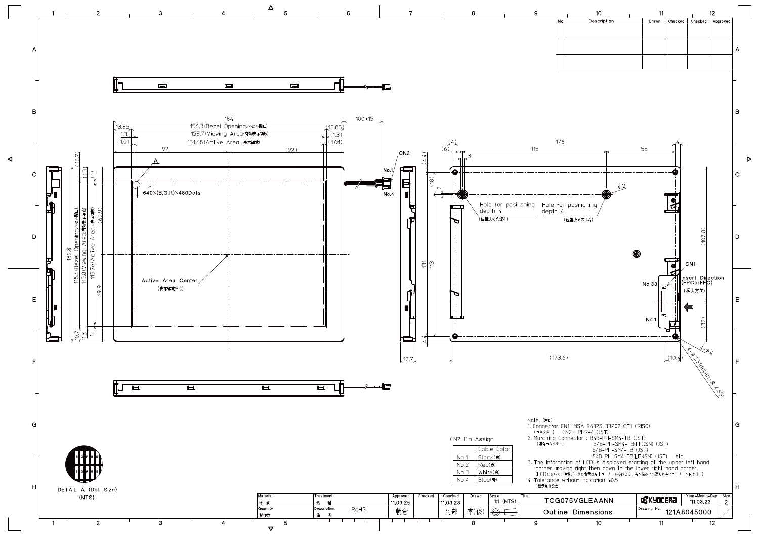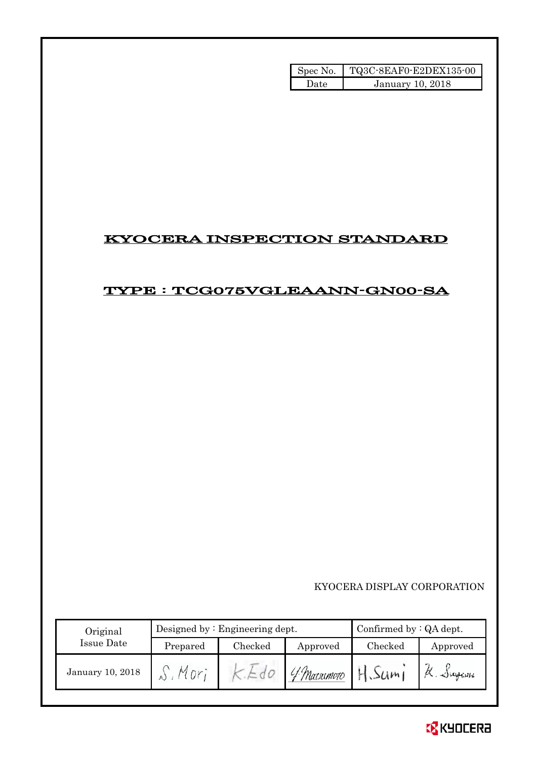| Spec No. | TQ3C-8EAF0-E2DEX135-00 |
|----------|------------------------|
| l Iate   | January 10, 2018       |

## KYOCERA INSPECTION STANDARD

## TYPE : TCG075VGLEAANN-GN00-SA

KYOCERA DISPLAY CORPORATION

| Original         |          | Designed by $:$ Engineering dept. | Confirmed by $:QA$ dept. |         |                   |
|------------------|----------|-----------------------------------|--------------------------|---------|-------------------|
| Issue Date       | Prepared | Checked                           | Approved                 | Checked | Approved          |
| January 10, 2018 | Mor      |                                   | 'f Matsumoto             | H.Sum   | $\alpha$ . Jugani |

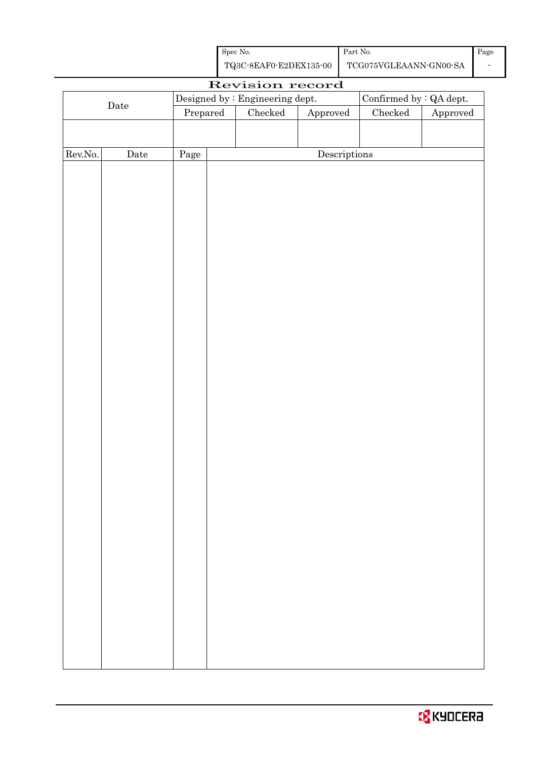| Spec No.               | Part No.               | Page |
|------------------------|------------------------|------|
| TQ3C-8EAF0-E2DEX135-00 | TCG075VGLEAANN-GN00-SA |      |

| Designed by : Engineering dept.<br>Confirmed by : QA dept.<br>$\rm{Date}$<br>Checked<br>${\it Checked}$<br>${\Large\bf Approved}$<br>Prepared<br>Descriptions<br>Page<br>Date |         |  | Revision record |  |                        |
|-------------------------------------------------------------------------------------------------------------------------------------------------------------------------------|---------|--|-----------------|--|------------------------|
|                                                                                                                                                                               |         |  |                 |  |                        |
|                                                                                                                                                                               |         |  |                 |  | ${\Large\bf Approved}$ |
|                                                                                                                                                                               |         |  |                 |  |                        |
|                                                                                                                                                                               |         |  |                 |  |                        |
|                                                                                                                                                                               | Rev.No. |  |                 |  |                        |
|                                                                                                                                                                               |         |  |                 |  |                        |
|                                                                                                                                                                               |         |  |                 |  |                        |
|                                                                                                                                                                               |         |  |                 |  |                        |
|                                                                                                                                                                               |         |  |                 |  |                        |
|                                                                                                                                                                               |         |  |                 |  |                        |
|                                                                                                                                                                               |         |  |                 |  |                        |
|                                                                                                                                                                               |         |  |                 |  |                        |
|                                                                                                                                                                               |         |  |                 |  |                        |
|                                                                                                                                                                               |         |  |                 |  |                        |
|                                                                                                                                                                               |         |  |                 |  |                        |
|                                                                                                                                                                               |         |  |                 |  |                        |
|                                                                                                                                                                               |         |  |                 |  |                        |
|                                                                                                                                                                               |         |  |                 |  |                        |
|                                                                                                                                                                               |         |  |                 |  |                        |
|                                                                                                                                                                               |         |  |                 |  |                        |
|                                                                                                                                                                               |         |  |                 |  |                        |
|                                                                                                                                                                               |         |  |                 |  |                        |
|                                                                                                                                                                               |         |  |                 |  |                        |
|                                                                                                                                                                               |         |  |                 |  |                        |
|                                                                                                                                                                               |         |  |                 |  |                        |
|                                                                                                                                                                               |         |  |                 |  |                        |
|                                                                                                                                                                               |         |  |                 |  |                        |
|                                                                                                                                                                               |         |  |                 |  |                        |
|                                                                                                                                                                               |         |  |                 |  |                        |
|                                                                                                                                                                               |         |  |                 |  |                        |
|                                                                                                                                                                               |         |  |                 |  |                        |
|                                                                                                                                                                               |         |  |                 |  |                        |
|                                                                                                                                                                               |         |  |                 |  |                        |
|                                                                                                                                                                               |         |  |                 |  |                        |
|                                                                                                                                                                               |         |  |                 |  |                        |
|                                                                                                                                                                               |         |  |                 |  |                        |
|                                                                                                                                                                               |         |  |                 |  |                        |
|                                                                                                                                                                               |         |  |                 |  |                        |
|                                                                                                                                                                               |         |  |                 |  |                        |
|                                                                                                                                                                               |         |  |                 |  |                        |
|                                                                                                                                                                               |         |  |                 |  |                        |
|                                                                                                                                                                               |         |  |                 |  |                        |
|                                                                                                                                                                               |         |  |                 |  |                        |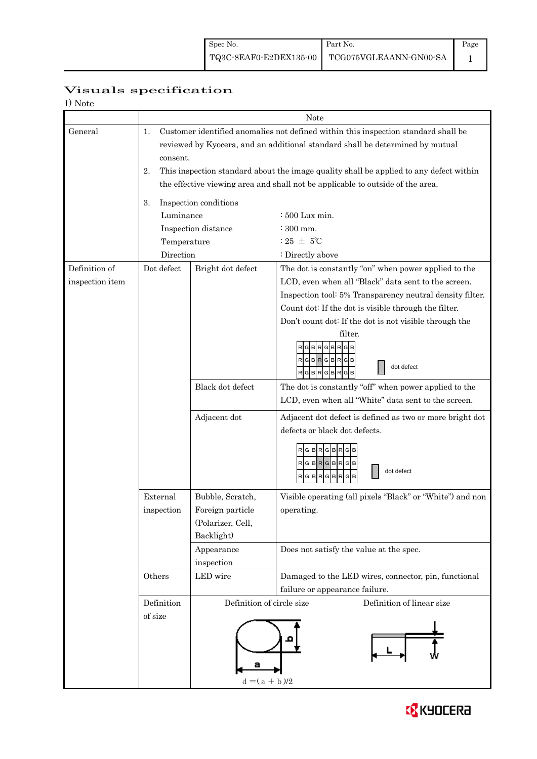## Page 1

## Visuals specification

| 1) Note         |                                                                                |                                      |                                                                                        |  |  |  |  |
|-----------------|--------------------------------------------------------------------------------|--------------------------------------|----------------------------------------------------------------------------------------|--|--|--|--|
|                 |                                                                                |                                      | Note                                                                                   |  |  |  |  |
| General         | 1.                                                                             |                                      | Customer identified anomalies not defined within this inspection standard shall be     |  |  |  |  |
|                 |                                                                                |                                      | reviewed by Kyocera, and an additional standard shall be determined by mutual          |  |  |  |  |
|                 | consent.                                                                       |                                      |                                                                                        |  |  |  |  |
|                 | 2.                                                                             |                                      | This inspection standard about the image quality shall be applied to any defect within |  |  |  |  |
|                 | the effective viewing area and shall not be applicable to outside of the area. |                                      |                                                                                        |  |  |  |  |
|                 | 3.                                                                             | Inspection conditions                |                                                                                        |  |  |  |  |
|                 | Luminance                                                                      |                                      | : 500 Lux min.                                                                         |  |  |  |  |
|                 |                                                                                | Inspection distance                  | $\approx 300$ mm.                                                                      |  |  |  |  |
|                 | Temperature                                                                    |                                      | : 25 $\pm$ 5°C                                                                         |  |  |  |  |
|                 | Direction                                                                      |                                      | : Directly above                                                                       |  |  |  |  |
| Definition of   | Dot defect                                                                     | Bright dot defect                    | The dot is constantly "on" when power applied to the                                   |  |  |  |  |
| inspection item |                                                                                |                                      | LCD, even when all "Black" data sent to the screen.                                    |  |  |  |  |
|                 |                                                                                |                                      | Inspection tool: 5% Transparency neutral density filter.                               |  |  |  |  |
|                 |                                                                                |                                      | Count dot: If the dot is visible through the filter.                                   |  |  |  |  |
|                 |                                                                                |                                      | Don't count dot: If the dot is not visible through the                                 |  |  |  |  |
|                 |                                                                                |                                      | filter.                                                                                |  |  |  |  |
|                 |                                                                                |                                      | G B<br>R G <br><b>BR</b>                                                               |  |  |  |  |
|                 |                                                                                |                                      | RGBRGBRGB<br>dot defect<br>RGBRGBRGB                                                   |  |  |  |  |
|                 |                                                                                | Black dot defect                     | The dot is constantly "off" when power applied to the                                  |  |  |  |  |
|                 |                                                                                |                                      | LCD, even when all "White" data sent to the screen.                                    |  |  |  |  |
|                 |                                                                                | Adjacent dot                         | Adjacent dot defect is defined as two or more bright dot                               |  |  |  |  |
|                 |                                                                                |                                      | defects or black dot defects.                                                          |  |  |  |  |
|                 |                                                                                |                                      | RGBRGBRGB                                                                              |  |  |  |  |
|                 |                                                                                |                                      | RGBRGBRGB                                                                              |  |  |  |  |
|                 |                                                                                |                                      | dot defect<br><b>BRGBR</b><br>G<br>G                                                   |  |  |  |  |
|                 |                                                                                |                                      |                                                                                        |  |  |  |  |
|                 | External<br>inspection                                                         | Bubble, Scratch,<br>Foreign particle | Visible operating (all pixels "Black" or "White") and non                              |  |  |  |  |
|                 |                                                                                | (Polarizer, Cell,                    | operating.                                                                             |  |  |  |  |
|                 |                                                                                | Backlight)                           |                                                                                        |  |  |  |  |
|                 |                                                                                | Appearance                           | Does not satisfy the value at the spec.                                                |  |  |  |  |
|                 |                                                                                | inspection                           |                                                                                        |  |  |  |  |
|                 | Others                                                                         | LED wire                             | Damaged to the LED wires, connector, pin, functional                                   |  |  |  |  |
|                 |                                                                                |                                      | failure or appearance failure.                                                         |  |  |  |  |
|                 | Definition                                                                     | Definition of circle size            | Definition of linear size                                                              |  |  |  |  |
|                 | of size                                                                        |                                      |                                                                                        |  |  |  |  |
|                 |                                                                                |                                      |                                                                                        |  |  |  |  |
|                 |                                                                                |                                      |                                                                                        |  |  |  |  |
|                 |                                                                                |                                      |                                                                                        |  |  |  |  |
|                 |                                                                                |                                      |                                                                                        |  |  |  |  |
|                 |                                                                                | $d = (a + b)/2$                      |                                                                                        |  |  |  |  |